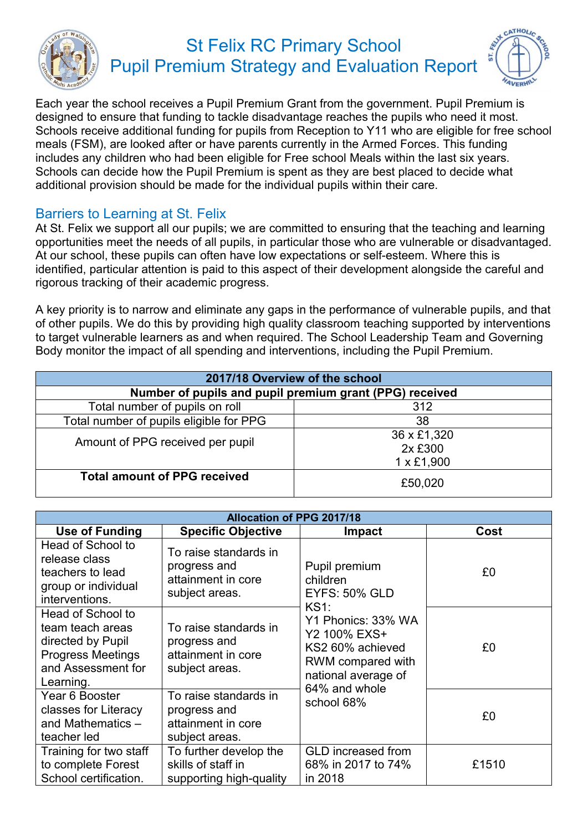

## St Felix RC Primary School Pupil Premium Strategy and Evaluation Report



Each year the school receives a Pupil Premium Grant from the government. Pupil Premium is designed to ensure that funding to tackle disadvantage reaches the pupils who need it most. Schools receive additional funding for pupils from Reception to Y11 who are eligible for free school meals (FSM), are looked after or have parents currently in the Armed Forces. This funding includes any children who had been eligible for Free school Meals within the last six years. Schools can decide how the Pupil Premium is spent as they are best placed to decide what additional provision should be made for the individual pupils within their care.

## Barriers to Learning at St. Felix

At St. Felix we support all our pupils; we are committed to ensuring that the teaching and learning opportunities meet the needs of all pupils, in particular those who are vulnerable or disadvantaged. At our school, these pupils can often have low expectations or self-esteem. Where this is identified, particular attention is paid to this aspect of their development alongside the careful and rigorous tracking of their academic progress.

A key priority is to narrow and eliminate any gaps in the performance of vulnerable pupils, and that of other pupils. We do this by providing high quality classroom teaching supported by interventions to target vulnerable learners as and when required. The School Leadership Team and Governing Body monitor the impact of all spending and interventions, including the Pupil Premium.

| 2017/18 Overview of the school                          |                                             |  |  |
|---------------------------------------------------------|---------------------------------------------|--|--|
| Number of pupils and pupil premium grant (PPG) received |                                             |  |  |
| Total number of pupils on roll<br>312                   |                                             |  |  |
| Total number of pupils eligible for PPG                 | 38                                          |  |  |
| Amount of PPG received per pupil                        | 36 x £1,320<br>2x £300<br>$1 \times £1,900$ |  |  |
| <b>Total amount of PPG received</b>                     | £50,020                                     |  |  |

| <b>Allocation of PPG 2017/18</b>                                                                                          |                                                                               |                                                                                                                     |       |
|---------------------------------------------------------------------------------------------------------------------------|-------------------------------------------------------------------------------|---------------------------------------------------------------------------------------------------------------------|-------|
| Use of Funding                                                                                                            | <b>Specific Objective</b>                                                     | <b>Impact</b>                                                                                                       | Cost  |
| Head of School to<br>release class<br>teachers to lead<br>group or individual<br>interventions.                           | To raise standards in<br>progress and<br>attainment in core<br>subject areas. | Pupil premium<br>children<br><b>EYFS: 50% GLD</b><br><b>KS1:</b>                                                    | £0    |
| Head of School to<br>team teach areas<br>directed by Pupil<br><b>Progress Meetings</b><br>and Assessment for<br>Learning. | To raise standards in<br>progress and<br>attainment in core<br>subject areas. | Y1 Phonics: 33% WA<br>Y2 100% EXS+<br>KS2 60% achieved<br>RWM compared with<br>national average of<br>64% and whole | £0    |
| Year 6 Booster<br>classes for Literacy<br>and Mathematics -<br>teacher led                                                | To raise standards in<br>progress and<br>attainment in core<br>subject areas. | school 68%                                                                                                          | £0    |
| Training for two staff<br>to complete Forest<br>School certification.                                                     | To further develop the<br>skills of staff in<br>supporting high-quality       | <b>GLD</b> increased from<br>68% in 2017 to 74%<br>in 2018                                                          | £1510 |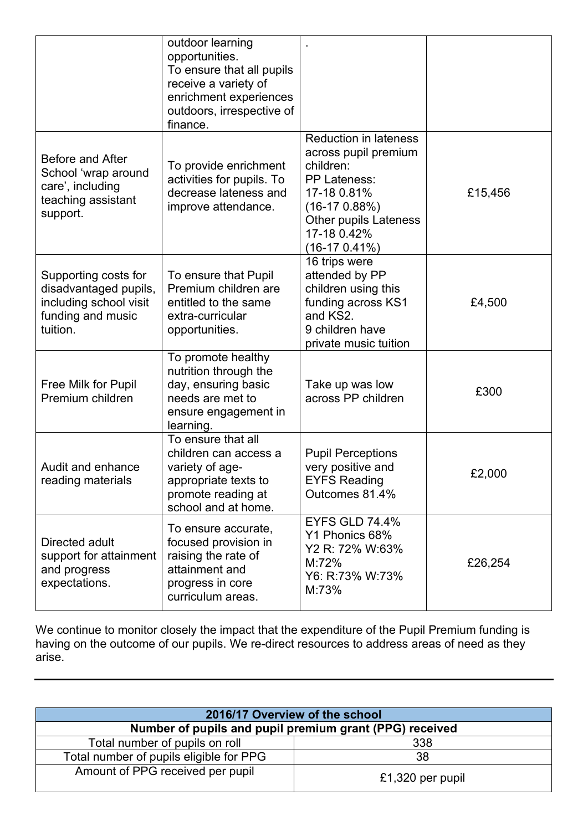|                                                                                                          | outdoor learning<br>opportunities.<br>To ensure that all pupils<br>receive a variety of<br>enrichment experiences<br>outdoors, irrespective of<br>finance. |                                                                                                                                                                                            |         |
|----------------------------------------------------------------------------------------------------------|------------------------------------------------------------------------------------------------------------------------------------------------------------|--------------------------------------------------------------------------------------------------------------------------------------------------------------------------------------------|---------|
| Before and After<br>School 'wrap around<br>care', including<br>teaching assistant<br>support.            | To provide enrichment<br>activities for pupils. To<br>decrease lateness and<br>improve attendance.                                                         | <b>Reduction in lateness</b><br>across pupil premium<br>children:<br><b>PP Lateness:</b><br>17-18 0.81%<br>$(16-170.88%)$<br><b>Other pupils Lateness</b><br>17-18 0.42%<br>$(16-170.41%)$ | £15,456 |
| Supporting costs for<br>disadvantaged pupils,<br>including school visit<br>funding and music<br>tuition. | To ensure that Pupil<br>Premium children are<br>entitled to the same<br>extra-curricular<br>opportunities.                                                 | 16 trips were<br>attended by PP<br>children using this<br>funding across KS1<br>and KS2.<br>9 children have<br>private music tuition                                                       | £4,500  |
| Free Milk for Pupil<br>Premium children                                                                  | To promote healthy<br>nutrition through the<br>day, ensuring basic<br>needs are met to<br>ensure engagement in<br>learning.                                | Take up was low<br>across PP children                                                                                                                                                      | £300    |
| Audit and enhance<br>reading materials                                                                   | To ensure that all<br>children can access a<br>variety of age-<br>appropriate texts to<br>promote reading at<br>school and at home.                        | <b>Pupil Perceptions</b><br>very positive and<br><b>EYFS Reading</b><br>Outcomes 81.4%                                                                                                     | £2,000  |
| Directed adult<br>support for attainment<br>and progress<br>expectations.                                | To ensure accurate,<br>focused provision in<br>raising the rate of<br>attainment and<br>progress in core<br>curriculum areas.                              | <b>EYFS GLD 74.4%</b><br>Y1 Phonics 68%<br>Y2 R: 72% W:63%<br>M:72%<br>Y6: R:73% W:73%<br>M:73%                                                                                            | £26,254 |

We continue to monitor closely the impact that the expenditure of the Pupil Premium funding is having on the outcome of our pupils. We re-direct resources to address areas of need as they arise.

| 2016/17 Overview of the school                          |                  |  |  |
|---------------------------------------------------------|------------------|--|--|
| Number of pupils and pupil premium grant (PPG) received |                  |  |  |
| Total number of pupils on roll<br>338                   |                  |  |  |
| Total number of pupils eligible for PPG                 | 38               |  |  |
| Amount of PPG received per pupil                        | £1,320 per pupil |  |  |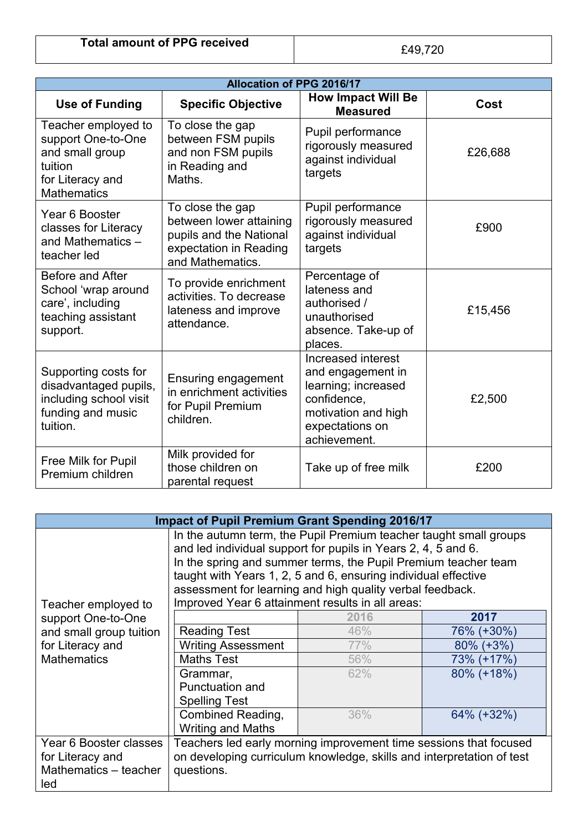| <b>Allocation of PPG 2016/17</b>                                                                                  |                                                                                                                      |                                                                                                                                         |         |
|-------------------------------------------------------------------------------------------------------------------|----------------------------------------------------------------------------------------------------------------------|-----------------------------------------------------------------------------------------------------------------------------------------|---------|
| <b>Use of Funding</b>                                                                                             | <b>Specific Objective</b>                                                                                            | <b>How Impact Will Be</b><br><b>Measured</b>                                                                                            | Cost    |
| Teacher employed to<br>support One-to-One<br>and small group<br>tuition<br>for Literacy and<br><b>Mathematics</b> | To close the gap<br>between FSM pupils<br>and non FSM pupils<br>in Reading and<br>Maths.                             | Pupil performance<br>rigorously measured<br>against individual<br>targets                                                               | £26,688 |
| Year 6 Booster<br>classes for Literacy<br>and Mathematics -<br>teacher led                                        | To close the gap<br>between lower attaining<br>pupils and the National<br>expectation in Reading<br>and Mathematics. | Pupil performance<br>rigorously measured<br>against individual<br>targets                                                               | £900    |
| Before and After<br>School 'wrap around<br>care', including<br>teaching assistant<br>support.                     | To provide enrichment<br>activities. To decrease<br>lateness and improve<br>attendance.                              | Percentage of<br>lateness and<br>authorised /<br>unauthorised<br>absence. Take-up of<br>places.                                         | £15,456 |
| Supporting costs for<br>disadvantaged pupils,<br>including school visit<br>funding and music<br>tuition.          | <b>Ensuring engagement</b><br>in enrichment activities<br>for Pupil Premium<br>children.                             | Increased interest<br>and engagement in<br>learning; increased<br>confidence,<br>motivation and high<br>expectations on<br>achievement. | £2,500  |
| Free Milk for Pupil<br>Premium children                                                                           | Milk provided for<br>those children on<br>parental request                                                           | Take up of free milk                                                                                                                    | £200    |

| <b>Impact of Pupil Premium Grant Spending 2016/17</b> |                                                                                                                                                                                                                                                                                                                                                                                         |      |              |
|-------------------------------------------------------|-----------------------------------------------------------------------------------------------------------------------------------------------------------------------------------------------------------------------------------------------------------------------------------------------------------------------------------------------------------------------------------------|------|--------------|
| Teacher employed to                                   | In the autumn term, the Pupil Premium teacher taught small groups<br>and led individual support for pupils in Years 2, 4, 5 and 6.<br>In the spring and summer terms, the Pupil Premium teacher team<br>taught with Years 1, 2, 5 and 6, ensuring individual effective<br>assessment for learning and high quality verbal feedback.<br>Improved Year 6 attainment results in all areas: |      |              |
| support One-to-One                                    |                                                                                                                                                                                                                                                                                                                                                                                         | 2016 | 2017         |
| and small group tuition                               | <b>Reading Test</b>                                                                                                                                                                                                                                                                                                                                                                     | 46%  | 76% (+30%)   |
| for Literacy and<br><b>Mathematics</b>                | <b>Writing Assessment</b>                                                                                                                                                                                                                                                                                                                                                               | 77%  | $80\%$ (+3%) |
|                                                       | <b>Maths Test</b>                                                                                                                                                                                                                                                                                                                                                                       | 56%  | 73% (+17%)   |
|                                                       | Grammar,                                                                                                                                                                                                                                                                                                                                                                                | 62%  | 80% (+18%)   |
|                                                       | <b>Punctuation and</b>                                                                                                                                                                                                                                                                                                                                                                  |      |              |
|                                                       | <b>Spelling Test</b>                                                                                                                                                                                                                                                                                                                                                                    |      |              |
|                                                       | Combined Reading,                                                                                                                                                                                                                                                                                                                                                                       | 36%  | 64% (+32%)   |
|                                                       | <b>Writing and Maths</b>                                                                                                                                                                                                                                                                                                                                                                |      |              |
| Year 6 Booster classes                                | Teachers led early morning improvement time sessions that focused                                                                                                                                                                                                                                                                                                                       |      |              |
| for Literacy and                                      | on developing curriculum knowledge, skills and interpretation of test                                                                                                                                                                                                                                                                                                                   |      |              |
| Mathematics - teacher                                 | questions.                                                                                                                                                                                                                                                                                                                                                                              |      |              |
| led                                                   |                                                                                                                                                                                                                                                                                                                                                                                         |      |              |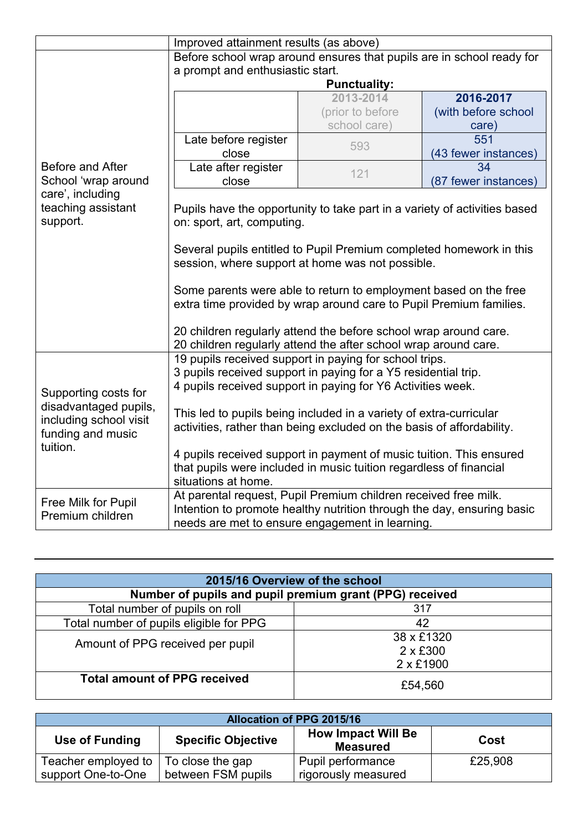|                                                                                                          | Improved attainment results (as above)                                                                                                                                                                                                                         |                     |                      |
|----------------------------------------------------------------------------------------------------------|----------------------------------------------------------------------------------------------------------------------------------------------------------------------------------------------------------------------------------------------------------------|---------------------|----------------------|
|                                                                                                          | Before school wrap around ensures that pupils are in school ready for                                                                                                                                                                                          |                     |                      |
|                                                                                                          | a prompt and enthusiastic start.                                                                                                                                                                                                                               |                     |                      |
|                                                                                                          |                                                                                                                                                                                                                                                                | <b>Punctuality:</b> |                      |
|                                                                                                          |                                                                                                                                                                                                                                                                | 2013-2014           | 2016-2017            |
|                                                                                                          |                                                                                                                                                                                                                                                                | (prior to before    | (with before school  |
|                                                                                                          |                                                                                                                                                                                                                                                                | school care)        | care)                |
|                                                                                                          | Late before register                                                                                                                                                                                                                                           | 593                 | 551                  |
|                                                                                                          | close                                                                                                                                                                                                                                                          |                     | (43 fewer instances) |
| Before and After                                                                                         | Late after register                                                                                                                                                                                                                                            | 121                 | 34                   |
| School 'wrap around                                                                                      | close                                                                                                                                                                                                                                                          |                     | (87 fewer instances) |
| care', including<br>teaching assistant<br>support.                                                       | Pupils have the opportunity to take part in a variety of activities based<br>on: sport, art, computing.<br>Several pupils entitled to Pupil Premium completed homework in this                                                                                 |                     |                      |
|                                                                                                          | session, where support at home was not possible.<br>Some parents were able to return to employment based on the free<br>extra time provided by wrap around care to Pupil Premium families.<br>20 children regularly attend the before school wrap around care. |                     |                      |
|                                                                                                          | 20 children regularly attend the after school wrap around care.                                                                                                                                                                                                |                     |                      |
|                                                                                                          | 19 pupils received support in paying for school trips.<br>3 pupils received support in paying for a Y5 residential trip.<br>4 pupils received support in paying for Y6 Activities week.                                                                        |                     |                      |
| Supporting costs for<br>disadvantaged pupils,<br>including school visit<br>funding and music<br>tuition. | This led to pupils being included in a variety of extra-curricular<br>activities, rather than being excluded on the basis of affordability.                                                                                                                    |                     |                      |
|                                                                                                          | 4 pupils received support in payment of music tuition. This ensured<br>that pupils were included in music tuition regardless of financial<br>situations at home.                                                                                               |                     |                      |
| Free Milk for Pupil<br>Premium children                                                                  | At parental request, Pupil Premium children received free milk.<br>Intention to promote healthy nutrition through the day, ensuring basic<br>needs are met to ensure engagement in learning.                                                                   |                     |                      |

| 2015/16 Overview of the school                          |                 |  |  |  |
|---------------------------------------------------------|-----------------|--|--|--|
| Number of pupils and pupil premium grant (PPG) received |                 |  |  |  |
| Total number of pupils on roll<br>317                   |                 |  |  |  |
| Total number of pupils eligible for PPG                 | 42              |  |  |  |
|                                                         | 38 x £1320      |  |  |  |
| Amount of PPG received per pupil                        | $2 \times £300$ |  |  |  |
|                                                         | 2 x £1900       |  |  |  |
| <b>Total amount of PPG received</b>                     | £54,560         |  |  |  |

| <b>Allocation of PPG 2015/16</b>                                                                    |                    |                     |         |  |
|-----------------------------------------------------------------------------------------------------|--------------------|---------------------|---------|--|
| <b>How Impact Will Be</b><br><b>Specific Objective</b><br>Use of Funding<br>Cost<br><b>Measured</b> |                    |                     |         |  |
| Teacher employed to                                                                                 | To close the gap   | Pupil performance   | £25,908 |  |
| support One-to-One                                                                                  | between FSM pupils | rigorously measured |         |  |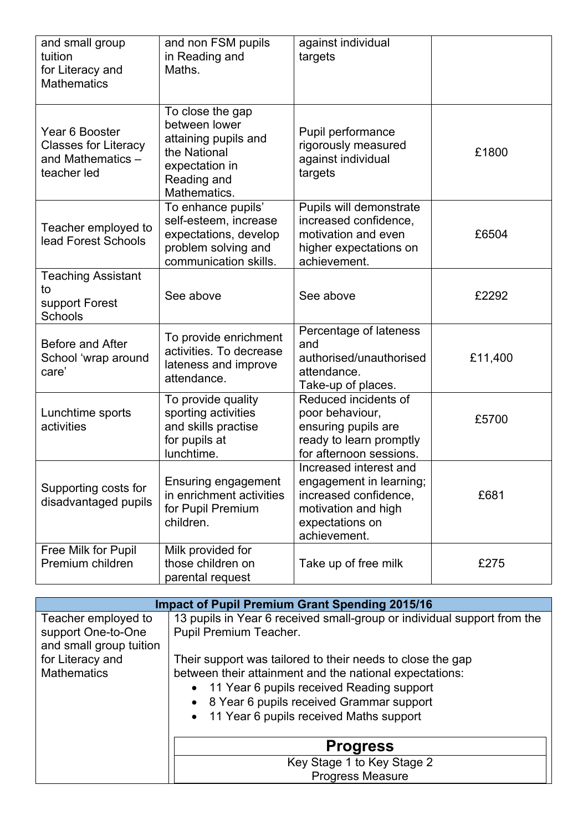| and small group<br>tuition<br>for Literacy and<br><b>Mathematics</b>              | and non FSM pupils<br>in Reading and<br>Maths.                                                                             | against individual<br>targets                                                                                                        |         |
|-----------------------------------------------------------------------------------|----------------------------------------------------------------------------------------------------------------------------|--------------------------------------------------------------------------------------------------------------------------------------|---------|
| Year 6 Booster<br><b>Classes for Literacy</b><br>and Mathematics -<br>teacher led | To close the gap<br>between lower<br>attaining pupils and<br>the National<br>expectation in<br>Reading and<br>Mathematics. | Pupil performance<br>rigorously measured<br>against individual<br>targets                                                            | £1800   |
| Teacher employed to<br>lead Forest Schools                                        | To enhance pupils'<br>self-esteem, increase<br>expectations, develop<br>problem solving and<br>communication skills.       | Pupils will demonstrate<br>increased confidence,<br>motivation and even<br>higher expectations on<br>achievement.                    | £6504   |
| <b>Teaching Assistant</b><br>to<br>support Forest<br>Schools                      | See above                                                                                                                  | See above                                                                                                                            | £2292   |
| Before and After<br>School 'wrap around<br>care'                                  | To provide enrichment<br>activities. To decrease<br>lateness and improve<br>attendance.                                    | Percentage of lateness<br>and<br>authorised/unauthorised<br>attendance.<br>Take-up of places.                                        | £11,400 |
| Lunchtime sports<br>activities                                                    | To provide quality<br>sporting activities<br>and skills practise<br>for pupils at<br>lunchtime.                            | Reduced incidents of<br>poor behaviour,<br>ensuring pupils are<br>ready to learn promptly<br>for afternoon sessions.                 | £5700   |
| Supporting costs for<br>disadvantaged pupils                                      | <b>Ensuring engagement</b><br>in enrichment activities<br>for Pupil Premium<br>children.                                   | Increased interest and<br>engagement in learning;<br>increased confidence,<br>motivation and high<br>expectations on<br>achievement. | £681    |
| Free Milk for Pupil<br>Premium children                                           | Milk provided for<br>those children on<br>parental request                                                                 | Take up of free milk                                                                                                                 | £275    |

|                                               | <b>Impact of Pupil Premium Grant Spending 2015/16</b>                   |  |  |
|-----------------------------------------------|-------------------------------------------------------------------------|--|--|
| Teacher employed to                           | 13 pupils in Year 6 received small-group or individual support from the |  |  |
| support One-to-One<br>and small group tuition | Pupil Premium Teacher.                                                  |  |  |
| for Literacy and                              | Their support was tailored to their needs to close the gap              |  |  |
| <b>Mathematics</b>                            | between their attainment and the national expectations:                 |  |  |
|                                               | • 11 Year 6 pupils received Reading support                             |  |  |
|                                               | • 8 Year 6 pupils received Grammar support                              |  |  |
|                                               | • 11 Year 6 pupils received Maths support                               |  |  |
|                                               | <b>Progress</b>                                                         |  |  |
|                                               | Key Stage 1 to Key Stage 2                                              |  |  |
|                                               | <b>Progress Measure</b>                                                 |  |  |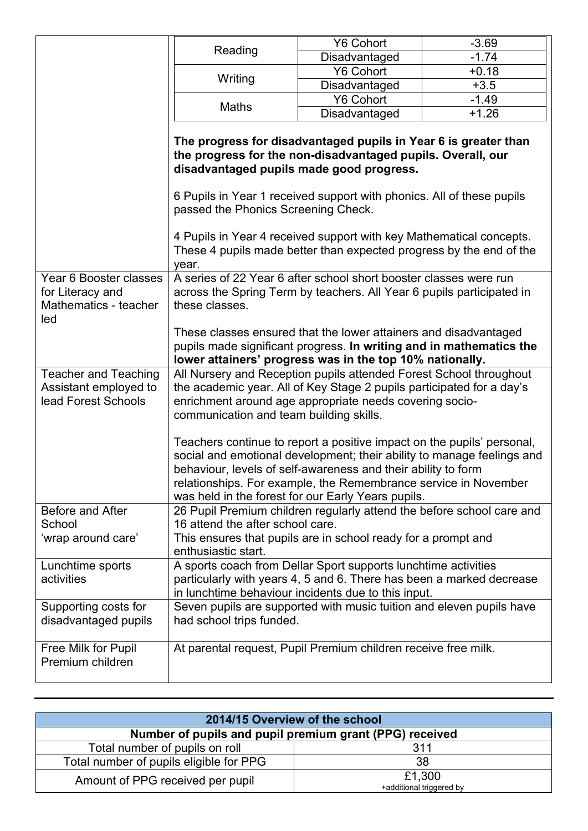|                                                                            |                                                                                                                                                                                                                                                                                            | <b>Y6 Cohort</b>                                                     | $-3.69$ |  |
|----------------------------------------------------------------------------|--------------------------------------------------------------------------------------------------------------------------------------------------------------------------------------------------------------------------------------------------------------------------------------------|----------------------------------------------------------------------|---------|--|
|                                                                            | Reading                                                                                                                                                                                                                                                                                    | Disadvantaged                                                        | $-1.74$ |  |
|                                                                            | Writing                                                                                                                                                                                                                                                                                    | <b>Y6 Cohort</b>                                                     | $+0.18$ |  |
|                                                                            |                                                                                                                                                                                                                                                                                            | Disadvantaged                                                        | $+3.5$  |  |
|                                                                            |                                                                                                                                                                                                                                                                                            | <b>Y6 Cohort</b>                                                     | $-1.49$ |  |
|                                                                            | <b>Maths</b>                                                                                                                                                                                                                                                                               | Disadvantaged                                                        | $+1.26$ |  |
|                                                                            |                                                                                                                                                                                                                                                                                            |                                                                      |         |  |
|                                                                            | The progress for disadvantaged pupils in Year 6 is greater than<br>the progress for the non-disadvantaged pupils. Overall, our<br>disadvantaged pupils made good progress.<br>6 Pupils in Year 1 received support with phonics. All of these pupils<br>passed the Phonics Screening Check. |                                                                      |         |  |
|                                                                            |                                                                                                                                                                                                                                                                                            |                                                                      |         |  |
|                                                                            | 4 Pupils in Year 4 received support with key Mathematical concepts.<br>These 4 pupils made better than expected progress by the end of the<br>year.                                                                                                                                        |                                                                      |         |  |
| Year 6 Booster classes<br>for Literacy and<br>Mathematics - teacher<br>led | A series of 22 Year 6 after school short booster classes were run<br>across the Spring Term by teachers. All Year 6 pupils participated in<br>these classes.                                                                                                                               |                                                                      |         |  |
|                                                                            | These classes ensured that the lower attainers and disadvantaged                                                                                                                                                                                                                           |                                                                      |         |  |
|                                                                            | pupils made significant progress. In writing and in mathematics the                                                                                                                                                                                                                        |                                                                      |         |  |
|                                                                            | lower attainers' progress was in the top 10% nationally.                                                                                                                                                                                                                                   |                                                                      |         |  |
| <b>Teacher and Teaching</b>                                                | All Nursery and Reception pupils attended Forest School throughout                                                                                                                                                                                                                         |                                                                      |         |  |
| Assistant employed to                                                      | the academic year. All of Key Stage 2 pupils participated for a day's                                                                                                                                                                                                                      |                                                                      |         |  |
| lead Forest Schools                                                        |                                                                                                                                                                                                                                                                                            | enrichment around age appropriate needs covering socio-              |         |  |
|                                                                            | communication and team building skills.                                                                                                                                                                                                                                                    |                                                                      |         |  |
|                                                                            | Teachers continue to report a positive impact on the pupils' personal,                                                                                                                                                                                                                     |                                                                      |         |  |
|                                                                            | social and emotional development; their ability to manage feelings and                                                                                                                                                                                                                     |                                                                      |         |  |
|                                                                            |                                                                                                                                                                                                                                                                                            | behaviour, levels of self-awareness and their ability to form        |         |  |
|                                                                            | relationships. For example, the Remembrance service in November                                                                                                                                                                                                                            |                                                                      |         |  |
|                                                                            | was held in the forest for our Early Years pupils.                                                                                                                                                                                                                                         |                                                                      |         |  |
| Before and After                                                           | 26 Pupil Premium children regularly attend the before school care and                                                                                                                                                                                                                      |                                                                      |         |  |
| School                                                                     | 16 attend the after school care.                                                                                                                                                                                                                                                           |                                                                      |         |  |
| 'wrap around care'                                                         |                                                                                                                                                                                                                                                                                            | This ensures that pupils are in school ready for a prompt and        |         |  |
|                                                                            | enthusiastic start.                                                                                                                                                                                                                                                                        |                                                                      |         |  |
| Lunchtime sports                                                           | A sports coach from Dellar Sport supports lunchtime activities                                                                                                                                                                                                                             |                                                                      |         |  |
| activities                                                                 |                                                                                                                                                                                                                                                                                            | particularly with years 4, 5 and 6. There has been a marked decrease |         |  |
|                                                                            | in lunchtime behaviour incidents due to this input.                                                                                                                                                                                                                                        |                                                                      |         |  |
| Supporting costs for<br>disadvantaged pupils                               | had school trips funded.                                                                                                                                                                                                                                                                   | Seven pupils are supported with music tuition and eleven pupils have |         |  |
| Free Milk for Pupil                                                        | At parental request, Pupil Premium children receive free milk.                                                                                                                                                                                                                             |                                                                      |         |  |
| Premium children                                                           |                                                                                                                                                                                                                                                                                            |                                                                      |         |  |
|                                                                            |                                                                                                                                                                                                                                                                                            |                                                                      |         |  |

| 2014/15 Overview of the school                          |                                    |  |  |
|---------------------------------------------------------|------------------------------------|--|--|
| Number of pupils and pupil premium grant (PPG) received |                                    |  |  |
| Total number of pupils on roll                          | 311                                |  |  |
| Total number of pupils eligible for PPG                 | 38                                 |  |  |
| Amount of PPG received per pupil                        | £1,300<br>+additional triggered by |  |  |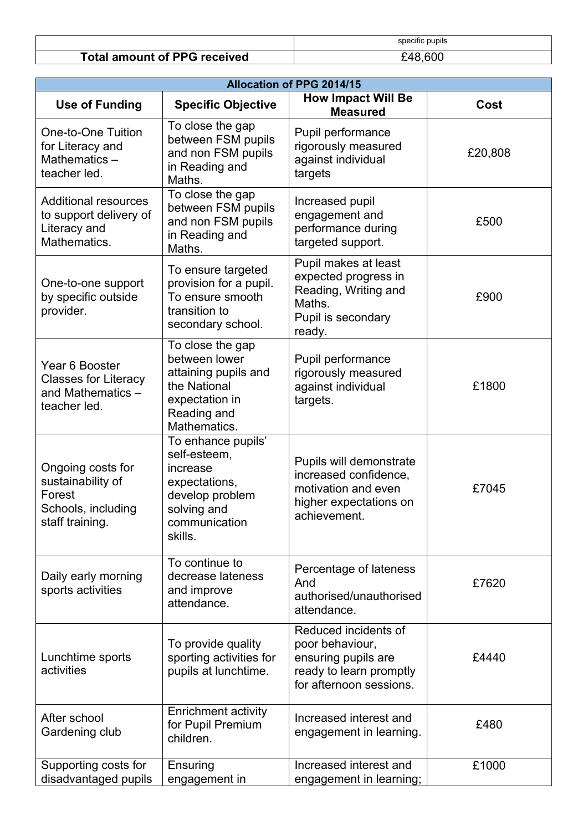|                                     | specific pupils |
|-------------------------------------|-----------------|
| <b>Total amount of PPG received</b> | £48.600         |

| <b>Allocation of PPG 2014/15</b>                                                          |                                                                                                                               |                                                                                                                      |         |  |
|-------------------------------------------------------------------------------------------|-------------------------------------------------------------------------------------------------------------------------------|----------------------------------------------------------------------------------------------------------------------|---------|--|
| <b>Use of Funding</b>                                                                     | <b>Specific Objective</b>                                                                                                     | <b>How Impact Will Be</b><br><b>Measured</b>                                                                         | Cost    |  |
| <b>One-to-One Tuition</b><br>for Literacy and<br>Mathematics-<br>teacher led.             | To close the gap<br>between FSM pupils<br>and non FSM pupils<br>in Reading and<br>Maths.                                      | Pupil performance<br>rigorously measured<br>against individual<br>targets                                            | £20,808 |  |
| <b>Additional resources</b><br>to support delivery of<br>Literacy and<br>Mathematics.     | To close the gap<br>between FSM pupils<br>and non FSM pupils<br>in Reading and<br>Maths.                                      | Increased pupil<br>engagement and<br>performance during<br>targeted support.                                         | £500    |  |
| One-to-one support<br>by specific outside<br>provider.                                    | To ensure targeted<br>provision for a pupil.<br>To ensure smooth<br>transition to<br>secondary school.                        | Pupil makes at least<br>expected progress in<br>Reading, Writing and<br>Maths.<br>Pupil is secondary<br>ready.       | £900    |  |
| Year 6 Booster<br><b>Classes for Literacy</b><br>and Mathematics -<br>teacher led.        | To close the gap<br>between lower<br>attaining pupils and<br>the National<br>expectation in<br>Reading and<br>Mathematics.    | Pupil performance<br>rigorously measured<br>against individual<br>targets.                                           | £1800   |  |
| Ongoing costs for<br>sustainability of<br>Forest<br>Schools, including<br>staff training. | To enhance pupils'<br>self-esteem,<br>increase<br>expectations,<br>develop problem<br>solving and<br>communication<br>skills. | Pupils will demonstrate<br>increased confidence,<br>motivation and even<br>higher expectations on<br>achievement.    | £7045   |  |
| Daily early morning<br>sports activities                                                  | To continue to<br>decrease lateness<br>and improve<br>attendance.                                                             | Percentage of lateness<br>And<br>authorised/unauthorised<br>attendance.                                              | £7620   |  |
| Lunchtime sports<br>activities                                                            | To provide quality<br>sporting activities for<br>pupils at lunchtime.                                                         | Reduced incidents of<br>poor behaviour,<br>ensuring pupils are<br>ready to learn promptly<br>for afternoon sessions. | £4440   |  |
| After school<br>Gardening club                                                            | <b>Enrichment activity</b><br>for Pupil Premium<br>children.                                                                  | Increased interest and<br>engagement in learning.                                                                    | £480    |  |
| Supporting costs for<br>disadvantaged pupils                                              | Ensuring<br>engagement in                                                                                                     | Increased interest and<br>engagement in learning;                                                                    | £1000   |  |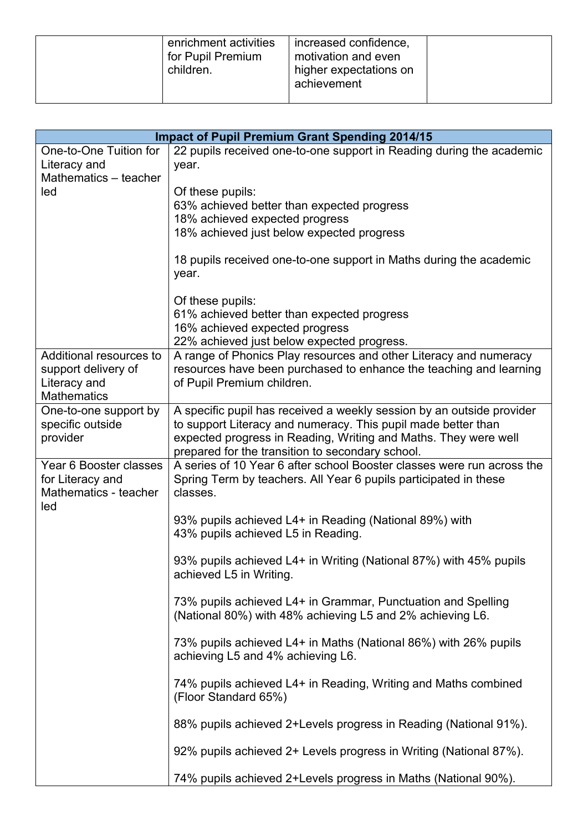| enrichment activities<br>for Pupil Premium<br>children. | increased confidence,<br>motivation and even<br>higher expectations on<br>achievement |  |
|---------------------------------------------------------|---------------------------------------------------------------------------------------|--|
|---------------------------------------------------------|---------------------------------------------------------------------------------------|--|

| <b>Impact of Pupil Premium Grant Spending 2014/15</b> |                                                                                                  |
|-------------------------------------------------------|--------------------------------------------------------------------------------------------------|
| One-to-One Tuition for                                | 22 pupils received one-to-one support in Reading during the academic                             |
| Literacy and                                          | year.                                                                                            |
| Mathematics - teacher<br>led                          | Of these pupils:                                                                                 |
|                                                       | 63% achieved better than expected progress                                                       |
|                                                       | 18% achieved expected progress                                                                   |
|                                                       | 18% achieved just below expected progress                                                        |
|                                                       |                                                                                                  |
|                                                       | 18 pupils received one-to-one support in Maths during the academic<br>year.                      |
|                                                       |                                                                                                  |
|                                                       | Of these pupils:                                                                                 |
|                                                       | 61% achieved better than expected progress                                                       |
|                                                       | 16% achieved expected progress                                                                   |
|                                                       | 22% achieved just below expected progress.                                                       |
| Additional resources to                               | A range of Phonics Play resources and other Literacy and numeracy                                |
| support delivery of<br>Literacy and                   | resources have been purchased to enhance the teaching and learning<br>of Pupil Premium children. |
| <b>Mathematics</b>                                    |                                                                                                  |
| One-to-one support by                                 | A specific pupil has received a weekly session by an outside provider                            |
| specific outside                                      | to support Literacy and numeracy. This pupil made better than                                    |
| provider                                              | expected progress in Reading, Writing and Maths. They were well                                  |
|                                                       | prepared for the transition to secondary school.                                                 |
| Year 6 Booster classes                                | A series of 10 Year 6 after school Booster classes were run across the                           |
| for Literacy and                                      | Spring Term by teachers. All Year 6 pupils participated in these                                 |
| Mathematics - teacher<br>led                          | classes.                                                                                         |
|                                                       | 93% pupils achieved L4+ in Reading (National 89%) with                                           |
|                                                       | 43% pupils achieved L5 in Reading.                                                               |
|                                                       |                                                                                                  |
|                                                       | 93% pupils achieved L4+ in Writing (National 87%) with 45% pupils                                |
|                                                       | achieved L5 in Writing.                                                                          |
|                                                       | 73% pupils achieved L4+ in Grammar, Punctuation and Spelling                                     |
|                                                       | (National 80%) with 48% achieving L5 and 2% achieving L6.                                        |
|                                                       |                                                                                                  |
|                                                       | 73% pupils achieved L4+ in Maths (National 86%) with 26% pupils                                  |
|                                                       | achieving L5 and 4% achieving L6.                                                                |
|                                                       | 74% pupils achieved L4+ in Reading, Writing and Maths combined                                   |
|                                                       | (Floor Standard 65%)                                                                             |
|                                                       | 88% pupils achieved 2+Levels progress in Reading (National 91%).                                 |
|                                                       |                                                                                                  |
|                                                       | 92% pupils achieved 2+ Levels progress in Writing (National 87%).                                |
|                                                       | 74% pupils achieved 2+Levels progress in Maths (National 90%).                                   |